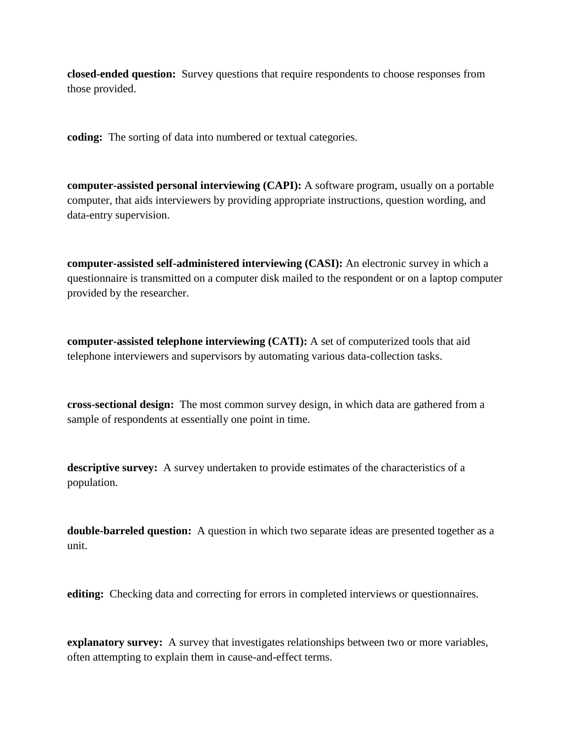**closed-ended question:** Survey questions that require respondents to choose responses from those provided.

**coding:** The sorting of data into numbered or textual categories.

**computer-assisted personal interviewing (CAPI):** A software program, usually on a portable computer, that aids interviewers by providing appropriate instructions, question wording, and data-entry supervision.

**computer-assisted self-administered interviewing (CASI):** An electronic survey in which a questionnaire is transmitted on a computer disk mailed to the respondent or on a laptop computer provided by the researcher.

**computer-assisted telephone interviewing (CATI):** A set of computerized tools that aid telephone interviewers and supervisors by automating various data-collection tasks.

**cross-sectional design:** The most common survey design, in which data are gathered from a sample of respondents at essentially one point in time.

**descriptive survey:** A survey undertaken to provide estimates of the characteristics of a population.

**double-barreled question:** A question in which two separate ideas are presented together as a unit.

**editing:** Checking data and correcting for errors in completed interviews or questionnaires.

**explanatory survey:** A survey that investigates relationships between two or more variables, often attempting to explain them in cause-and-effect terms.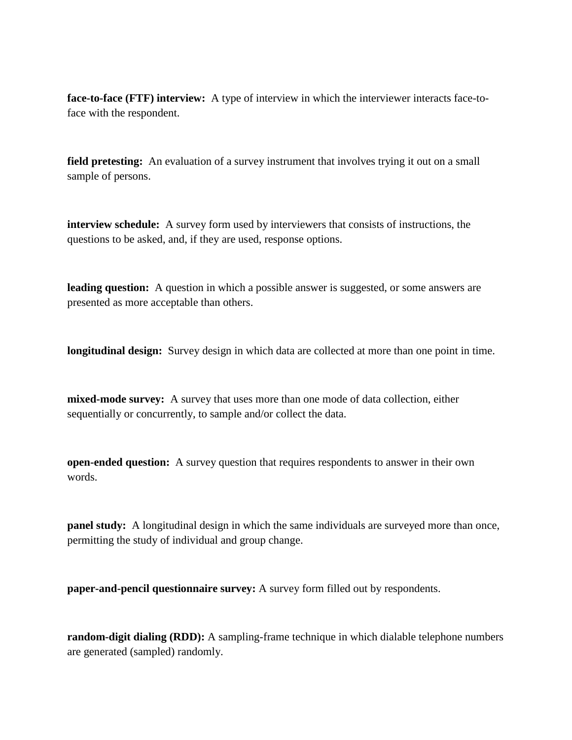**face-to-face (FTF) interview:** A type of interview in which the interviewer interacts face-toface with the respondent.

**field pretesting:** An evaluation of a survey instrument that involves trying it out on a small sample of persons.

**interview schedule:** A survey form used by interviewers that consists of instructions, the questions to be asked, and, if they are used, response options.

**leading question:** A question in which a possible answer is suggested, or some answers are presented as more acceptable than others.

**longitudinal design:** Survey design in which data are collected at more than one point in time.

**mixed-mode survey:** A survey that uses more than one mode of data collection, either sequentially or concurrently, to sample and/or collect the data.

**open-ended question:** A survey question that requires respondents to answer in their own words.

**panel study:** A longitudinal design in which the same individuals are surveyed more than once, permitting the study of individual and group change.

**paper-and-pencil questionnaire survey:** A survey form filled out by respondents.

**random-digit dialing (RDD):** A sampling-frame technique in which dialable telephone numbers are generated (sampled) randomly.